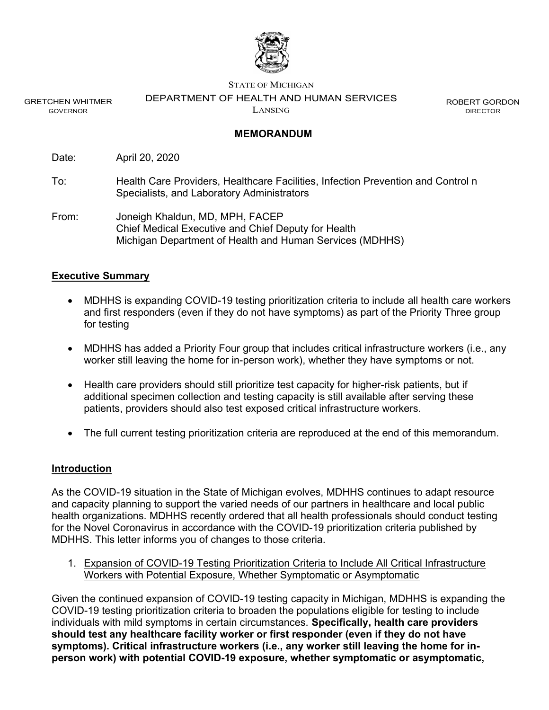

GRETCHEN WHITMER GOVERNOR

STATE OF MICHIGAN

DEPARTMENT OF HEALTH AND HUMAN SERVICES

LANSING

ROBERT GORDON DIRECTOR

#### MEMORANDUM

Date: April 20, 2020

To: Health Care Providers, Healthcare Facilities, Infection Prevention and Control n Specialists, and Laboratory Administrators

From: Joneigh Khaldun, MD, MPH, FACEP Chief Medical Executive and Chief Deputy for Health Michigan Department of Health and Human Services (MDHHS)

#### Executive Summary

- MDHHS is expanding COVID-19 testing prioritization criteria to include all health care workers and first responders (even if they do not have symptoms) as part of the Priority Three group for testing
- MDHHS has added a Priority Four group that includes critical infrastructure workers (i.e., any worker still leaving the home for in-person work), whether they have symptoms or not.
- Health care providers should still prioritize test capacity for higher-risk patients, but if additional specimen collection and testing capacity is still available after serving these patients, providers should also test exposed critical infrastructure workers.
- The full current testing prioritization criteria are reproduced at the end of this memorandum.

#### **Introduction**

As the COVID-19 situation in the State of Michigan evolves, MDHHS continues to adapt resource and capacity planning to support the varied needs of our partners in healthcare and local public health organizations. MDHHS recently ordered that all health professionals should conduct testing for the Novel Coronavirus in accordance with the COVID-19 prioritization criteria published by MDHHS. This letter informs you of changes to those criteria.

1. Expansion of COVID-19 Testing Prioritization Criteria to Include All Critical Infrastructure Workers with Potential Exposure, Whether Symptomatic or Asymptomatic

Given the continued expansion of COVID-19 testing capacity in Michigan, MDHHS is expanding the COVID-19 testing prioritization criteria to broaden the populations eligible for testing to include individuals with mild symptoms in certain circumstances. Specifically, health care providers should test any healthcare facility worker or first responder (even if they do not have symptoms). Critical infrastructure workers (i.e., any worker still leaving the home for inperson work) with potential COVID-19 exposure, whether symptomatic or asymptomatic,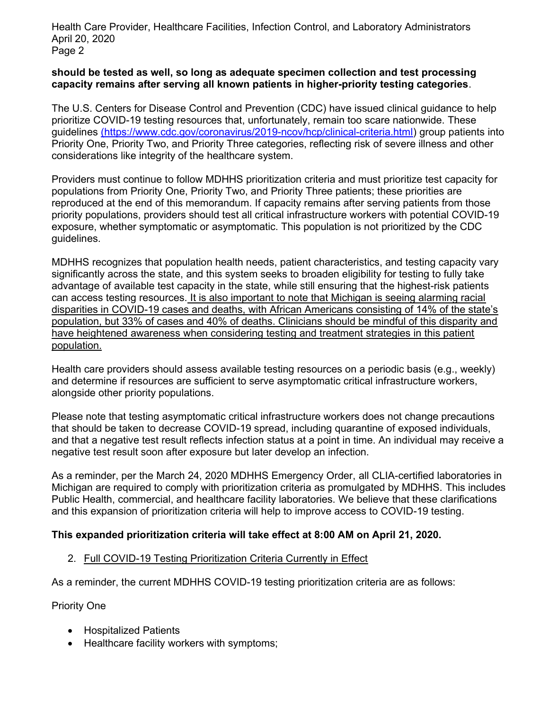Health Care Provider, Healthcare Facilities, Infection Control, and Laboratory Administrators April 20, 2020 Page 2

### should be tested as well, so long as adequate specimen collection and test processing capacity remains after serving all known patients in higher-priority testing categories.

The U.S. Centers for Disease Control and Prevention (CDC) have issued clinical guidance to help prioritize COVID-19 testing resources that, unfortunately, remain too scare nationwide. These guidelines (https://www.cdc.gov/coronavirus/2019-ncov/hcp/clinical-criteria.html) group patients into Priority One, Priority Two, and Priority Three categories, reflecting risk of severe illness and other considerations like integrity of the healthcare system.

Providers must continue to follow MDHHS prioritization criteria and must prioritize test capacity for populations from Priority One, Priority Two, and Priority Three patients; these priorities are reproduced at the end of this memorandum. If capacity remains after serving patients from those priority populations, providers should test all critical infrastructure workers with potential COVID-19 exposure, whether symptomatic or asymptomatic. This population is not prioritized by the CDC guidelines.

MDHHS recognizes that population health needs, patient characteristics, and testing capacity vary significantly across the state, and this system seeks to broaden eligibility for testing to fully take advantage of available test capacity in the state, while still ensuring that the highest-risk patients can access testing resources. It is also important to note that Michigan is seeing alarming racial disparities in COVID-19 cases and deaths, with African Americans consisting of 14% of the state's population, but 33% of cases and 40% of deaths. Clinicians should be mindful of this disparity and have heightened awareness when considering testing and treatment strategies in this patient population.

Health care providers should assess available testing resources on a periodic basis (e.g., weekly) and determine if resources are sufficient to serve asymptomatic critical infrastructure workers, alongside other priority populations.

Please note that testing asymptomatic critical infrastructure workers does not change precautions that should be taken to decrease COVID-19 spread, including quarantine of exposed individuals, and that a negative test result reflects infection status at a point in time. An individual may receive a negative test result soon after exposure but later develop an infection.

As a reminder, per the March 24, 2020 MDHHS Emergency Order, all CLIA-certified laboratories in Michigan are required to comply with prioritization criteria as promulgated by MDHHS. This includes Public Health, commercial, and healthcare facility laboratories. We believe that these clarifications and this expansion of prioritization criteria will help to improve access to COVID-19 testing.

#### This expanded prioritization criteria will take effect at 8:00 AM on April 21, 2020.

## 2. Full COVID-19 Testing Prioritization Criteria Currently in Effect

As a reminder, the current MDHHS COVID-19 testing prioritization criteria are as follows:

Priority One

- Hospitalized Patients
- Healthcare facility workers with symptoms;